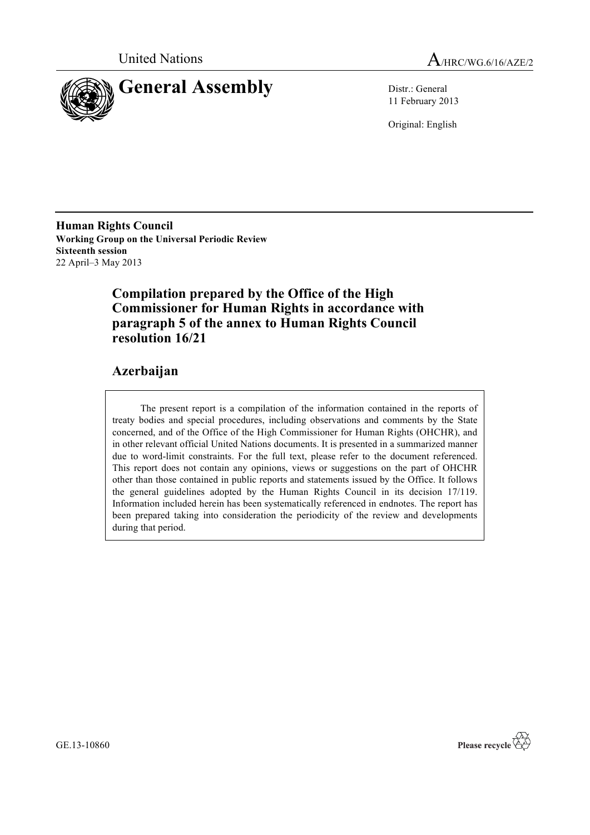



11 February 2013

Original: English

**Human Rights Council Working Group on the Universal Periodic Review Sixteenth session** 22 April–3 May 2013

# **Compilation prepared by the Office of the High Commissioner for Human Rights in accordance with paragraph 5 of the annex to Human Rights Council resolution 16/21**

# **Azerbaijan**

The present report is a compilation of the information contained in the reports of treaty bodies and special procedures, including observations and comments by the State concerned, and of the Office of the High Commissioner for Human Rights (OHCHR), and in other relevant official United Nations documents. It is presented in a summarized manner due to word-limit constraints. For the full text, please refer to the document referenced. This report does not contain any opinions, views or suggestions on the part of OHCHR other than those contained in public reports and statements issued by the Office. It follows the general guidelines adopted by the Human Rights Council in its decision 17/119. Information included herein has been systematically referenced in endnotes. The report has been prepared taking into consideration the periodicity of the review and developments during that period.

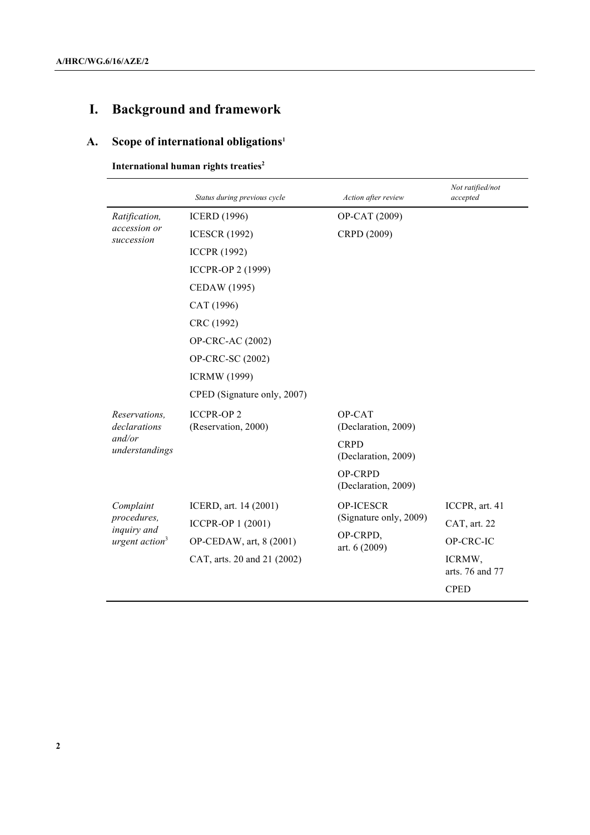# **I. Background and framework**

# **A. Scope of international obligations1**

| International human rights treaties <sup>2</sup> |  |
|--------------------------------------------------|--|
|--------------------------------------------------|--|

|                               | Status during previous cycle            | Action after review                   | Not ratified/not<br>accepted |
|-------------------------------|-----------------------------------------|---------------------------------------|------------------------------|
| Ratification,                 | <b>ICERD</b> (1996)                     | OP-CAT (2009)                         |                              |
| accession or<br>succession    | <b>ICESCR (1992)</b>                    | CRPD (2009)                           |                              |
|                               | <b>ICCPR (1992)</b>                     |                                       |                              |
|                               | <b>ICCPR-OP 2 (1999)</b>                |                                       |                              |
|                               | CEDAW (1995)                            |                                       |                              |
|                               | CAT (1996)                              |                                       |                              |
|                               | CRC (1992)                              |                                       |                              |
|                               | OP-CRC-AC (2002)                        |                                       |                              |
|                               | OP-CRC-SC (2002)                        |                                       |                              |
|                               | <b>ICRMW</b> (1999)                     |                                       |                              |
|                               | CPED (Signature only, 2007)             |                                       |                              |
| Reservations,<br>declarations | <b>ICCPR-OP2</b><br>(Reservation, 2000) | OP-CAT<br>(Declaration, 2009)         |                              |
| and/or<br>understandings      |                                         | <b>CRPD</b><br>(Declaration, 2009)    |                              |
|                               |                                         | <b>OP-CRPD</b><br>(Declaration, 2009) |                              |
| Complaint                     | ICERD, art. 14 (2001)                   | <b>OP-ICESCR</b>                      | ICCPR, art. 41               |
| procedures,<br>inquiry and    | ICCPR-OP 1 (2001)                       | (Signature only, 2009)                | CAT, art. 22                 |
| urgent $action3$              | OP-CEDAW, art, 8 (2001)                 | OP-CRPD,<br>art. 6 (2009)             | OP-CRC-IC                    |
|                               | CAT, arts. 20 and 21 (2002)             |                                       | ICRMW,<br>arts. 76 and 77    |
|                               |                                         |                                       | <b>CPED</b>                  |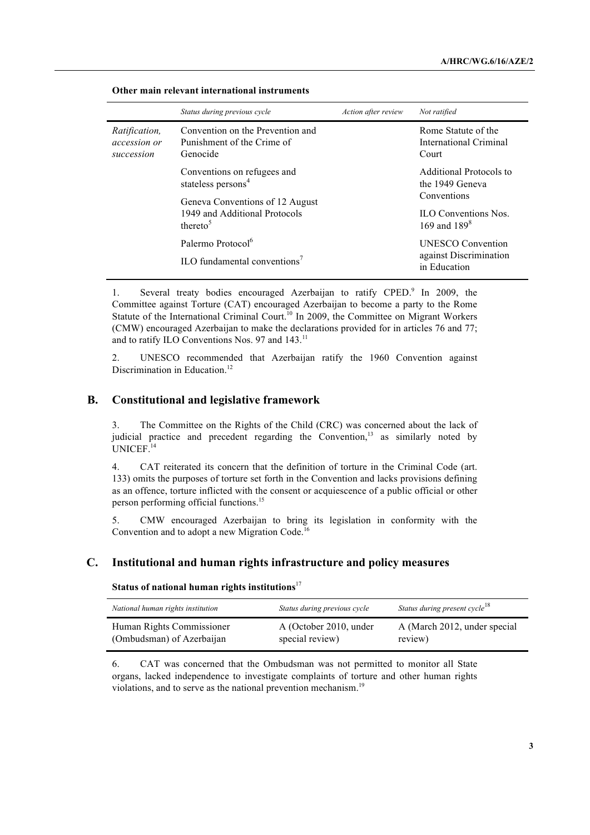|                                             | Status during previous cycle                                                                                                                              | Action after review | Not ratified                                                                                               |
|---------------------------------------------|-----------------------------------------------------------------------------------------------------------------------------------------------------------|---------------------|------------------------------------------------------------------------------------------------------------|
| Ratification,<br>accession or<br>succession | Convention on the Prevention and<br>Punishment of the Crime of<br>Genocide                                                                                |                     | Rome Statute of the<br>International Criminal<br>Court                                                     |
|                                             | Conventions on refugees and<br>stateless persons <sup>4</sup><br>Geneva Conventions of 12 August<br>1949 and Additional Protocols<br>thereto <sup>5</sup> |                     | Additional Protocols to<br>the 1949 Geneva<br>Conventions<br><b>ILO</b> Conventions Nos<br>169 and $189^8$ |
|                                             | Palermo Protocol <sup>6</sup><br>ILO fundamental conventions <sup>7</sup>                                                                                 |                     | <b>UNESCO</b> Convention<br>against Discrimination<br>in Education                                         |

#### **Other main relevant international instruments**

1. Several treaty bodies encouraged Azerbaijan to ratify CPED.<sup>9</sup> In 2009, the Committee against Torture (CAT) encouraged Azerbaijan to become a party to the Rome Statute of the International Criminal Court.<sup>10</sup> In 2009, the Committee on Migrant Workers (CMW) encouraged Azerbaijan to make the declarations provided for in articles 76 and 77; and to ratify ILO Conventions Nos. 97 and 143.<sup>11</sup>

2. UNESCO recommended that Azerbaijan ratify the 1960 Convention against Discrimination in Education.<sup>12</sup>

# **B. Constitutional and legislative framework**

3. The Committee on the Rights of the Child (CRC) was concerned about the lack of judicial practice and precedent regarding the Convention,<sup>13</sup> as similarly noted by UNICEF. 14

4. CAT reiterated its concern that the definition of torture in the Criminal Code (art. 133) omits the purposes of torture set forth in the Convention and lacks provisions defining as an offence, torture inflicted with the consent or acquiescence of a public official or other person performing official functions. 15

5. CMW encouraged Azerbaijan to bring its legislation in conformity with the Convention and to adopt a new Migration Code.<sup>16</sup>

# **C. Institutional and human rights infrastructure and policy measures**

**Status of national human rights institutions**<sup>17</sup>

| National human rights institution | Status during previous cycle | Status during present cycle <sup>18</sup> |
|-----------------------------------|------------------------------|-------------------------------------------|
| Human Rights Commissioner         | A (October 2010, under       | A (March 2012, under special              |
| (Ombudsman) of Azerbaijan         | special review)              | review)                                   |

6. CAT was concerned that the Ombudsman was not permitted to monitor all State organs, lacked independence to investigate complaints of torture and other human rights violations, and to serve as the national prevention mechanism.<sup>19</sup>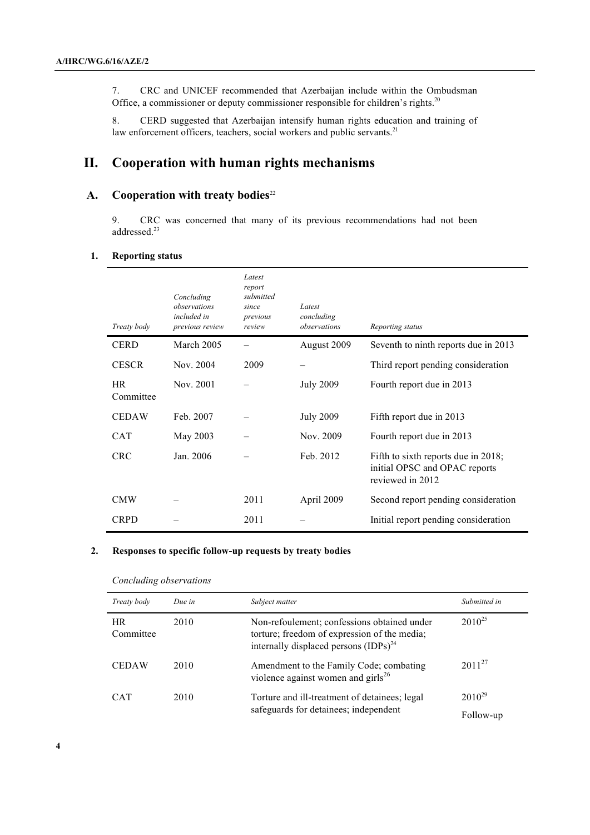7. CRC and UNICEF recommended that Azerbaijan include within the Ombudsman Office, a commissioner or deputy commissioner responsible for children's rights.<sup>20</sup>

8. CERD suggested that Azerbaijan intensify human rights education and training of law enforcement officers, teachers, social workers and public servants.<sup>21</sup>

# **II. Cooperation with human rights mechanisms**

# A. Cooperation with treaty bodies<sup>22</sup>

9. CRC was concerned that many of its previous recommendations had not been addressed. 23

#### **1. Reporting status**

| Treaty body            | Concluding<br>observations<br>included in<br>previous review | Latest<br>report<br>submitted<br>since<br>previous<br>review | Latest<br>concluding<br>observations | Reporting status                                                                         |
|------------------------|--------------------------------------------------------------|--------------------------------------------------------------|--------------------------------------|------------------------------------------------------------------------------------------|
| <b>CERD</b>            | March 2005                                                   |                                                              | August 2009                          | Seventh to ninth reports due in 2013                                                     |
| <b>CESCR</b>           | Nov. 2004                                                    | 2009                                                         |                                      | Third report pending consideration                                                       |
| <b>HR</b><br>Committee | Nov. 2001                                                    |                                                              | <b>July 2009</b>                     | Fourth report due in 2013                                                                |
| <b>CEDAW</b>           | Feb. 2007                                                    |                                                              | <b>July 2009</b>                     | Fifth report due in 2013                                                                 |
| <b>CAT</b>             | May 2003                                                     |                                                              | Nov. 2009                            | Fourth report due in 2013                                                                |
| <b>CRC</b>             | Jan. 2006                                                    |                                                              | Feb. 2012                            | Fifth to sixth reports due in 2018;<br>initial OPSC and OPAC reports<br>reviewed in 2012 |
| <b>CMW</b>             |                                                              | 2011                                                         | April 2009                           | Second report pending consideration                                                      |
| <b>CRPD</b>            |                                                              | 2011                                                         |                                      | Initial report pending consideration                                                     |

#### **2. Responses to specific follow-up requests by treaty bodies**

| Treaty body            | Due in | Subject matter                                                                                                                            | Submitted in             |
|------------------------|--------|-------------------------------------------------------------------------------------------------------------------------------------------|--------------------------|
| <b>HR</b><br>Committee | 2010   | Non-refoulement; confessions obtained under<br>torture; freedom of expression of the media;<br>internally displaced persons $(IDPs)^{24}$ | $2010^{25}$              |
| <b>CEDAW</b>           | 2010   | Amendment to the Family Code; combating<br>violence against women and girls $^{26}$                                                       | $2011^{27}$              |
| <b>CAT</b>             | 2010   | Torture and ill-treatment of detainees; legal<br>safeguards for detainees; independent                                                    | $2010^{29}$<br>Follow-up |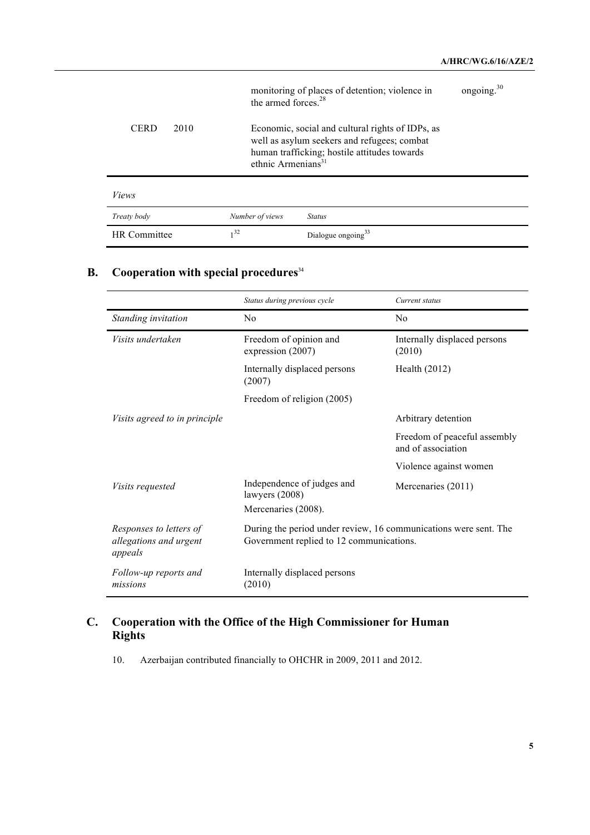|                     | the armed forces. <sup>28</sup> | monitoring of places of detention; violence in                                                                                                  | ongoing. <sup>30</sup> |
|---------------------|---------------------------------|-------------------------------------------------------------------------------------------------------------------------------------------------|------------------------|
| <b>CERD</b><br>2010 | ethnic Armenians $31$           | Economic, social and cultural rights of IDPs, as<br>well as asylum seekers and refugees; combat<br>human trafficking; hostile attitudes towards |                        |
| <i>Views</i>        |                                 |                                                                                                                                                 |                        |
| Treaty body         | Number of views                 | <b>Status</b>                                                                                                                                   |                        |
| <b>HR</b> Committee | 1 <sup>32</sup>                 | Dialogue ongoing <sup>33</sup>                                                                                                                  |                        |

# **B. Cooperation with special procedures**<sup>34</sup>

|                                                              | Status during previous cycle                                                                                 | Current status                                     |
|--------------------------------------------------------------|--------------------------------------------------------------------------------------------------------------|----------------------------------------------------|
| Standing invitation                                          | N <sub>0</sub>                                                                                               | N <sub>0</sub>                                     |
| Visits undertaken                                            | Freedom of opinion and<br>expression (2007)                                                                  | Internally displaced persons<br>(2010)             |
|                                                              | Internally displaced persons<br>(2007)                                                                       | Health $(2012)$                                    |
|                                                              | Freedom of religion (2005)                                                                                   |                                                    |
| <i>Visits agreed to in principle</i>                         |                                                                                                              | Arbitrary detention                                |
|                                                              |                                                                                                              | Freedom of peaceful assembly<br>and of association |
|                                                              |                                                                                                              | Violence against women                             |
| Visits requested                                             | Independence of judges and<br>lawyers (2008)                                                                 | Mercenaries (2011)                                 |
|                                                              | Mercenaries (2008).                                                                                          |                                                    |
| Responses to letters of<br>allegations and urgent<br>appeals | During the period under review, 16 communications were sent. The<br>Government replied to 12 communications. |                                                    |
| Follow-up reports and<br>missions                            | Internally displaced persons<br>(2010)                                                                       |                                                    |

# **C. Cooperation with the Office of the High Commissioner for Human Rights**

10. Azerbaijan contributed financially to OHCHR in 2009, 2011 and 2012.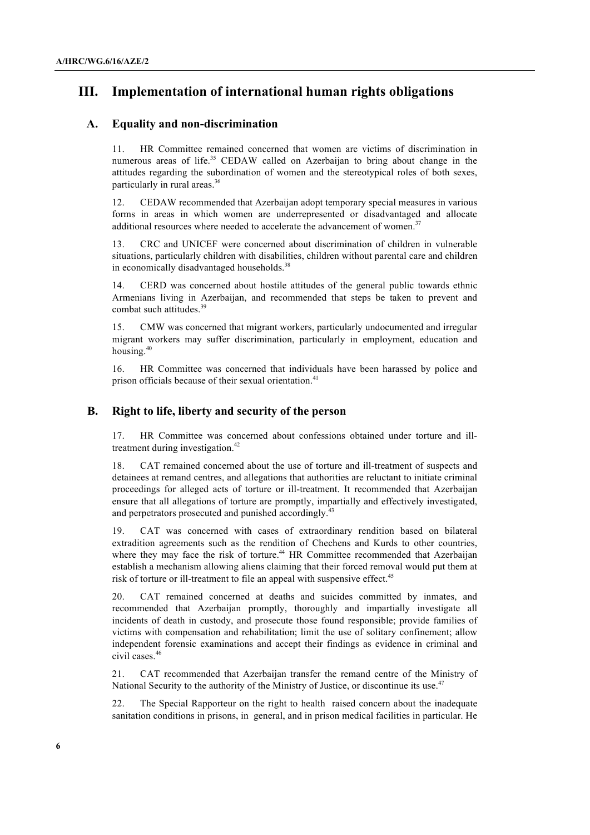# **III. Implementation of international human rights obligations**

# **A. Equality and non-discrimination**

11. HR Committee remained concerned that women are victims of discrimination in numerous areas of life. <sup>35</sup> CEDAW called on Azerbaijan to bring about change in the attitudes regarding the subordination of women and the stereotypical roles of both sexes, particularly in rural areas.<sup>36</sup>

12. CEDAW recommended that Azerbaijan adopt temporary special measures in various forms in areas in which women are underrepresented or disadvantaged and allocate additional resources where needed to accelerate the advancement of women.<sup>37</sup>

13. CRC and UNICEF were concerned about discrimination of children in vulnerable situations, particularly children with disabilities, children without parental care and children in economically disadvantaged households.<sup>38</sup>

14. CERD was concerned about hostile attitudes of the general public towards ethnic Armenians living in Azerbaijan, and recommended that steps be taken to prevent and combat such attitudes. 39

15. CMW was concerned that migrant workers, particularly undocumented and irregular migrant workers may suffer discrimination, particularly in employment, education and housing.<sup>40</sup>

16. HR Committee was concerned that individuals have been harassed by police and prison officials because of their sexual orientation.<sup>41</sup>

# **B. Right to life, liberty and security of the person**

17. HR Committee was concerned about confessions obtained under torture and illtreatment during investigation.<sup>42</sup>

18. CAT remained concerned about the use of torture and ill-treatment of suspects and detainees at remand centres, and allegations that authorities are reluctant to initiate criminal proceedings for alleged acts of torture or ill-treatment. It recommended that Azerbaijan ensure that all allegations of torture are promptly, impartially and effectively investigated, and perpetrators prosecuted and punished accordingly.<sup>43</sup>

19. CAT was concerned with cases of extraordinary rendition based on bilateral extradition agreements such as the rendition of Chechens and Kurds to other countries, where they may face the risk of torture.<sup>44</sup> HR Committee recommended that Azerbaijan establish a mechanism allowing aliens claiming that their forced removal would put them at risk of torture or ill-treatment to file an appeal with suspensive effect.<sup>45</sup>

20. CAT remained concerned at deaths and suicides committed by inmates, and recommended that Azerbaijan promptly, thoroughly and impartially investigate all incidents of death in custody, and prosecute those found responsible; provide families of victims with compensation and rehabilitation; limit the use of solitary confinement; allow independent forensic examinations and accept their findings as evidence in criminal and civil cases.<sup>46</sup>

21. CAT recommended that Azerbaijan transfer the remand centre of the Ministry of National Security to the authority of the Ministry of Justice, or discontinue its use.<sup>47</sup>

22. The Special Rapporteur on the right to health raised concern about the inadequate sanitation conditions in prisons, in general, and in prison medical facilities in particular. He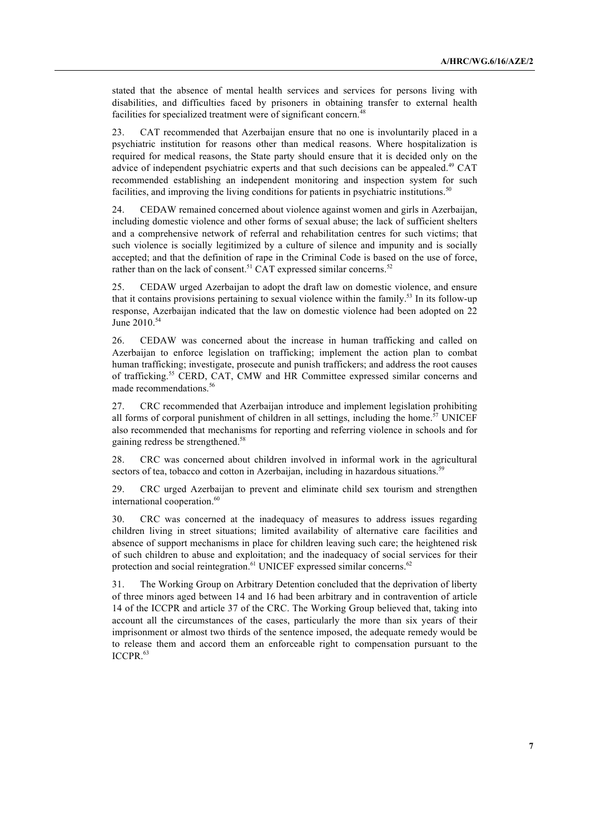stated that the absence of mental health services and services for persons living with disabilities, and difficulties faced by prisoners in obtaining transfer to external health facilities for specialized treatment were of significant concern.<sup>48</sup>

23. CAT recommended that Azerbaijan ensure that no one is involuntarily placed in a psychiatric institution for reasons other than medical reasons. Where hospitalization is required for medical reasons, the State party should ensure that it is decided only on the advice of independent psychiatric experts and that such decisions can be appealed.<sup>49</sup> CAT recommended establishing an independent monitoring and inspection system for such facilities, and improving the living conditions for patients in psychiatric institutions.<sup>50</sup>

24. CEDAW remained concerned about violence against women and girls in Azerbaijan, including domestic violence and other forms of sexual abuse; the lack of sufficient shelters and a comprehensive network of referral and rehabilitation centres for such victims; that such violence is socially legitimized by a culture of silence and impunity and is socially accepted; and that the definition of rape in the Criminal Code is based on the use of force, rather than on the lack of consent.<sup>51</sup> CAT expressed similar concerns.<sup>52</sup>

25. CEDAW urged Azerbaijan to adopt the draft law on domestic violence, and ensure that it contains provisions pertaining to sexual violence within the family.53 In its follow-up response, Azerbaijan indicated that the law on domestic violence had been adopted on 22 June 2010.<sup>54</sup>

26. CEDAW was concerned about the increase in human trafficking and called on Azerbaijan to enforce legislation on trafficking; implement the action plan to combat human trafficking; investigate, prosecute and punish traffickers; and address the root causes of trafficking.<sup>55</sup> CERD, CAT, CMW and HR Committee expressed similar concerns and made recommendations. 56

27. CRC recommended that Azerbaijan introduce and implement legislation prohibiting all forms of corporal punishment of children in all settings, including the home.<sup>57</sup> UNICEF also recommended that mechanisms for reporting and referring violence in schools and for gaining redress be strengthened.<sup>58</sup>

28. CRC was concerned about children involved in informal work in the agricultural sectors of tea, tobacco and cotton in Azerbaijan, including in hazardous situations.<sup>59</sup>

29. CRC urged Azerbaijan to prevent and eliminate child sex tourism and strengthen international cooperation.<sup>60</sup>

30. CRC was concerned at the inadequacy of measures to address issues regarding children living in street situations; limited availability of alternative care facilities and absence of support mechanisms in place for children leaving such care; the heightened risk of such children to abuse and exploitation; and the inadequacy of social services for their protection and social reintegration.<sup>61</sup> UNICEF expressed similar concerns.<sup>62</sup>

31. The Working Group on Arbitrary Detention concluded that the deprivation of liberty of three minors aged between 14 and 16 had been arbitrary and in contravention of article 14 of the ICCPR and article 37 of the CRC. The Working Group believed that, taking into account all the circumstances of the cases, particularly the more than six years of their imprisonment or almost two thirds of the sentence imposed, the adequate remedy would be to release them and accord them an enforceable right to compensation pursuant to the ICCPR. 63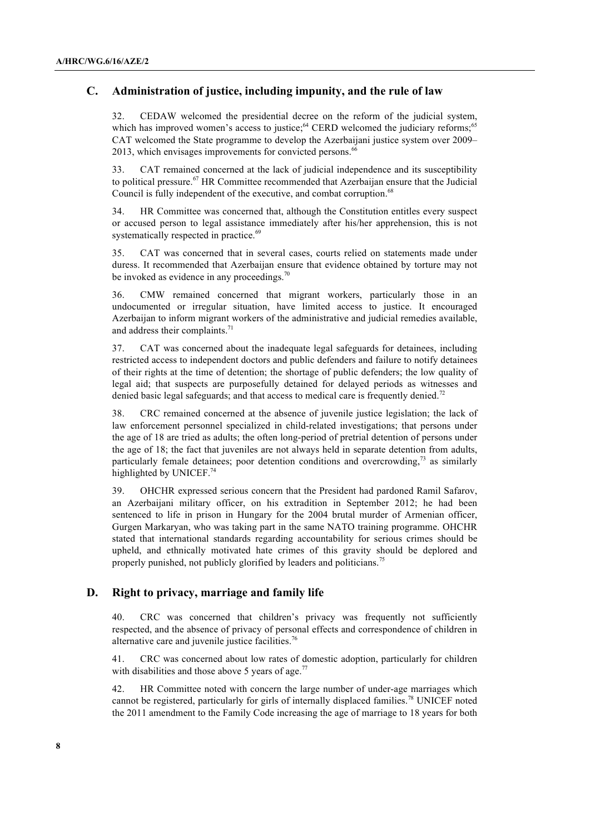# **C. Administration of justice, including impunity, and the rule of law**

32. CEDAW welcomed the presidential decree on the reform of the judicial system, which has improved women's access to justice;<sup>64</sup> CERD welcomed the judiciary reforms;<sup>65</sup> CAT welcomed the State programme to develop the Azerbaijani justice system over 2009– 2013, which envisages improvements for convicted persons.<sup>66</sup>

33. CAT remained concerned at the lack of judicial independence and its susceptibility to political pressure.<sup>67</sup> HR Committee recommended that Azerbaijan ensure that the Judicial Council is fully independent of the executive, and combat corruption.<sup>68</sup>

34. HR Committee was concerned that, although the Constitution entitles every suspect or accused person to legal assistance immediately after his/her apprehension, this is not systematically respected in practice.<sup>69</sup>

35. CAT was concerned that in several cases, courts relied on statements made under duress. It recommended that Azerbaijan ensure that evidence obtained by torture may not be invoked as evidence in any proceedings. $70$ 

36. CMW remained concerned that migrant workers, particularly those in an undocumented or irregular situation, have limited access to justice. It encouraged Azerbaijan to inform migrant workers of the administrative and judicial remedies available, and address their complaints.<sup>71</sup>

37. CAT was concerned about the inadequate legal safeguards for detainees, including restricted access to independent doctors and public defenders and failure to notify detainees of their rights at the time of detention; the shortage of public defenders; the low quality of legal aid; that suspects are purposefully detained for delayed periods as witnesses and denied basic legal safeguards; and that access to medical care is frequently denied.<sup>72</sup>

38. CRC remained concerned at the absence of juvenile justice legislation; the lack of law enforcement personnel specialized in child-related investigations; that persons under the age of 18 are tried as adults; the often long-period of pretrial detention of persons under the age of 18; the fact that juveniles are not always held in separate detention from adults, particularly female detainees; poor detention conditions and overcrowding,<sup>73</sup> as similarly highlighted by UNICEF.<sup>74</sup>

39. OHCHR expressed serious concern that the President had pardoned Ramil Safarov, an Azerbaijani military officer, on his extradition in September 2012; he had been sentenced to life in prison in Hungary for the 2004 brutal murder of Armenian officer, Gurgen Markaryan, who was taking part in the same NATO training programme. OHCHR stated that international standards regarding accountability for serious crimes should be upheld, and ethnically motivated hate crimes of this gravity should be deplored and properly punished, not publicly glorified by leaders and politicians.<sup>75</sup>

# **D. Right to privacy, marriage and family life**

40. CRC was concerned that children's privacy was frequently not sufficiently respected, and the absence of privacy of personal effects and correspondence of children in alternative care and juvenile justice facilities.<sup>76</sup>

41. CRC was concerned about low rates of domestic adoption, particularly for children with disabilities and those above 5 years of age. $^{77}$ 

42. HR Committee noted with concern the large number of under-age marriages which cannot be registered, particularly for girls of internally displaced families.<sup>78</sup> UNICEF noted the 2011 amendment to the Family Code increasing the age of marriage to 18 years for both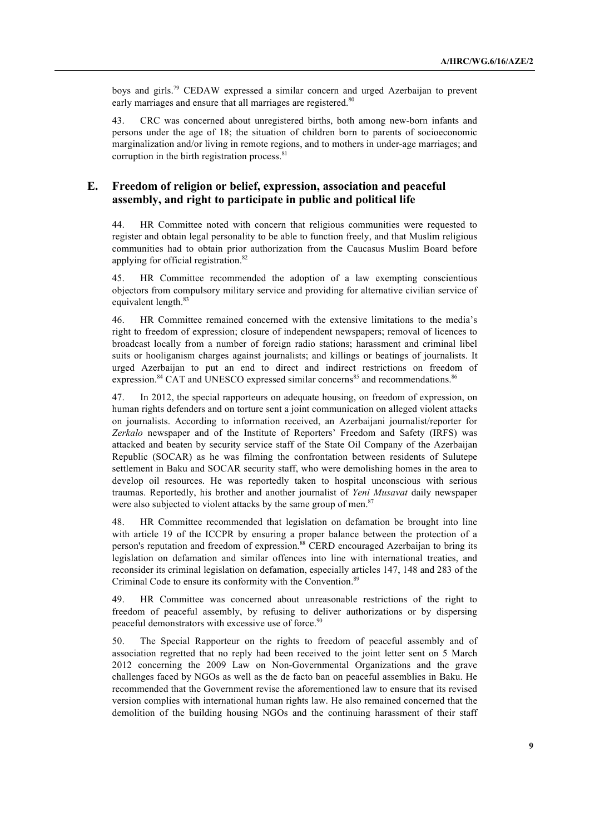boys and girls.79 CEDAW expressed a similar concern and urged Azerbaijan to prevent early marriages and ensure that all marriages are registered.<sup>80</sup>

43. CRC was concerned about unregistered births, both among new-born infants and persons under the age of 18; the situation of children born to parents of socioeconomic marginalization and/or living in remote regions, and to mothers in under-age marriages; and corruption in the birth registration process.<sup>81</sup>

# **E. Freedom of religion or belief, expression, association and peaceful assembly, and right to participate in public and political life**

44. HR Committee noted with concern that religious communities were requested to register and obtain legal personality to be able to function freely, and that Muslim religious communities had to obtain prior authorization from the Caucasus Muslim Board before applying for official registration.<sup>82</sup>

45. HR Committee recommended the adoption of a law exempting conscientious objectors from compulsory military service and providing for alternative civilian service of equivalent length. 83

46. HR Committee remained concerned with the extensive limitations to the media's right to freedom of expression; closure of independent newspapers; removal of licences to broadcast locally from a number of foreign radio stations; harassment and criminal libel suits or hooliganism charges against journalists; and killings or beatings of journalists. It urged Azerbaijan to put an end to direct and indirect restrictions on freedom of expression.<sup>84</sup> CAT and UNESCO expressed similar concerns<sup>85</sup> and recommendations.<sup>86</sup>

47. In 2012, the special rapporteurs on adequate housing, on freedom of expression, on human rights defenders and on torture sent a joint communication on alleged violent attacks on journalists. According to information received, an Azerbaijani journalist/reporter for *Zerkalo* newspaper and of the Institute of Reporters' Freedom and Safety (IRFS) was attacked and beaten by security service staff of the State Oil Company of the Azerbaijan Republic (SOCAR) as he was filming the confrontation between residents of Sulutepe settlement in Baku and SOCAR security staff, who were demolishing homes in the area to develop oil resources. He was reportedly taken to hospital unconscious with serious traumas. Reportedly, his brother and another journalist of *Yeni Musavat* daily newspaper were also subjected to violent attacks by the same group of men.<sup>87</sup>

48. HR Committee recommended that legislation on defamation be brought into line with article 19 of the ICCPR by ensuring a proper balance between the protection of a person's reputation and freedom of expression.<sup>88</sup> CERD encouraged Azerbaijan to bring its legislation on defamation and similar offences into line with international treaties, and reconsider its criminal legislation on defamation, especially articles 147, 148 and 283 of the Criminal Code to ensure its conformity with the Convention. 89

49. HR Committee was concerned about unreasonable restrictions of the right to freedom of peaceful assembly, by refusing to deliver authorizations or by dispersing peaceful demonstrators with excessive use of force.<sup>90</sup>

50. The Special Rapporteur on the rights to freedom of peaceful assembly and of association regretted that no reply had been received to the joint letter sent on 5 March 2012 concerning the 2009 Law on Non-Governmental Organizations and the grave challenges faced by NGOs as well as the de facto ban on peaceful assemblies in Baku. He recommended that the Government revise the aforementioned law to ensure that its revised version complies with international human rights law. He also remained concerned that the demolition of the building housing NGOs and the continuing harassment of their staff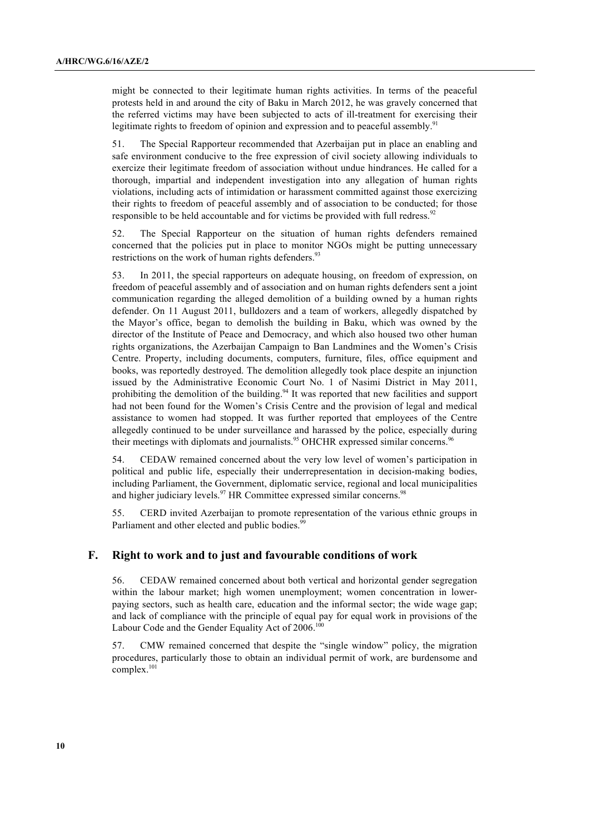might be connected to their legitimate human rights activities. In terms of the peaceful protests held in and around the city of Baku in March 2012, he was gravely concerned that the referred victims may have been subjected to acts of ill-treatment for exercising their legitimate rights to freedom of opinion and expression and to peaceful assembly.<sup>91</sup>

51. The Special Rapporteur recommended that Azerbaijan put in place an enabling and safe environment conducive to the free expression of civil society allowing individuals to exercize their legitimate freedom of association without undue hindrances. He called for a thorough, impartial and independent investigation into any allegation of human rights violations, including acts of intimidation or harassment committed against those exercizing their rights to freedom of peaceful assembly and of association to be conducted; for those responsible to be held accountable and for victims be provided with full redress.<sup>92</sup>

52. The Special Rapporteur on the situation of human rights defenders remained concerned that the policies put in place to monitor NGOs might be putting unnecessary restrictions on the work of human rights defenders.<sup>93</sup>

53. In 2011, the special rapporteurs on adequate housing, on freedom of expression, on freedom of peaceful assembly and of association and on human rights defenders sent a joint communication regarding the alleged demolition of a building owned by a human rights defender. On 11 August 2011, bulldozers and a team of workers, allegedly dispatched by the Mayor's office, began to demolish the building in Baku, which was owned by the director of the Institute of Peace and Democracy, and which also housed two other human rights organizations, the Azerbaijan Campaign to Ban Landmines and the Women's Crisis Centre. Property, including documents, computers, furniture, files, office equipment and books, was reportedly destroyed. The demolition allegedly took place despite an injunction issued by the Administrative Economic Court No. 1 of Nasimi District in May 2011, prohibiting the demolition of the building.<sup>94</sup> It was reported that new facilities and support had not been found for the Women's Crisis Centre and the provision of legal and medical assistance to women had stopped. It was further reported that employees of the Centre allegedly continued to be under surveillance and harassed by the police, especially during their meetings with diplomats and journalists.<sup>95</sup> OHCHR expressed similar concerns.<sup>96</sup>

54. CEDAW remained concerned about the very low level of women's participation in political and public life, especially their underrepresentation in decision-making bodies, including Parliament, the Government, diplomatic service, regional and local municipalities and higher judiciary levels.<sup>97</sup> HR Committee expressed similar concerns.<sup>98</sup>

55. CERD invited Azerbaijan to promote representation of the various ethnic groups in Parliament and other elected and public bodies.<sup>99</sup>

### **F. Right to work and to just and favourable conditions of work**

56. CEDAW remained concerned about both vertical and horizontal gender segregation within the labour market; high women unemployment; women concentration in lowerpaying sectors, such as health care, education and the informal sector; the wide wage gap; and lack of compliance with the principle of equal pay for equal work in provisions of the Labour Code and the Gender Equality Act of 2006.<sup>100</sup>

57. CMW remained concerned that despite the "single window" policy, the migration procedures, particularly those to obtain an individual permit of work, are burdensome and complex.<sup>101</sup>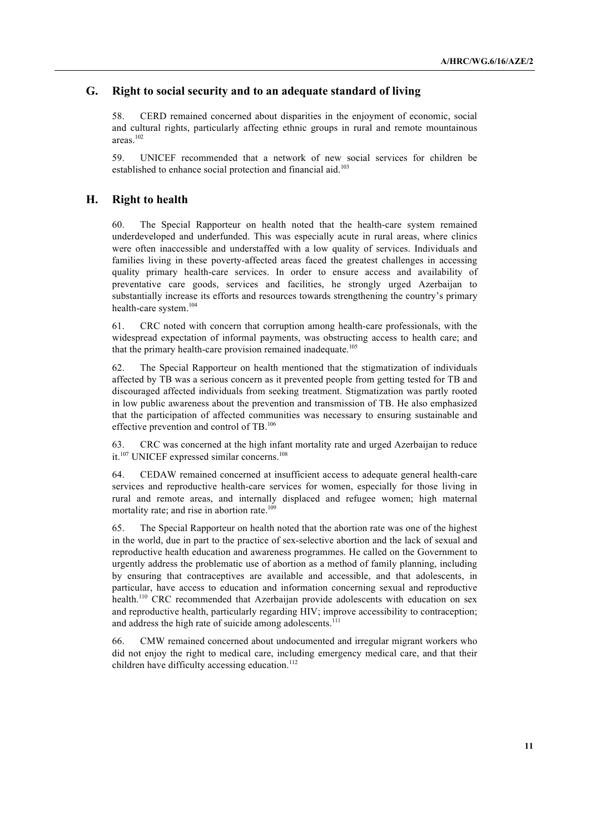# **G. Right to social security and to an adequate standard of living**

58. CERD remained concerned about disparities in the enjoyment of economic, social and cultural rights, particularly affecting ethnic groups in rural and remote mountainous areas.102

59. UNICEF recommended that a network of new social services for children be established to enhance social protection and financial aid.<sup>103</sup>

### **H. Right to health**

60. The Special Rapporteur on health noted that the health-care system remained underdeveloped and underfunded. This was especially acute in rural areas, where clinics were often inaccessible and understaffed with a low quality of services. Individuals and families living in these poverty-affected areas faced the greatest challenges in accessing quality primary health-care services. In order to ensure access and availability of preventative care goods, services and facilities, he strongly urged Azerbaijan to substantially increase its efforts and resources towards strengthening the country's primary health-care system.<sup>104</sup>

61. CRC noted with concern that corruption among health-care professionals, with the widespread expectation of informal payments, was obstructing access to health care; and that the primary health-care provision remained inadequate.<sup>105</sup>

62. The Special Rapporteur on health mentioned that the stigmatization of individuals affected by TB was a serious concern as it prevented people from getting tested for TB and discouraged affected individuals from seeking treatment. Stigmatization was partly rooted in low public awareness about the prevention and transmission of TB. He also emphasized that the participation of affected communities was necessary to ensuring sustainable and effective prevention and control of TB.<sup>106</sup>

63. CRC was concerned at the high infant mortality rate and urged Azerbaijan to reduce it.<sup>107</sup> UNICEF expressed similar concerns.<sup>108</sup>

64. CEDAW remained concerned at insufficient access to adequate general health-care services and reproductive health-care services for women, especially for those living in rural and remote areas, and internally displaced and refugee women; high maternal mortality rate; and rise in abortion rate.<sup>109</sup>

65. The Special Rapporteur on health noted that the abortion rate was one of the highest in the world, due in part to the practice of sex-selective abortion and the lack of sexual and reproductive health education and awareness programmes. He called on the Government to urgently address the problematic use of abortion as a method of family planning, including by ensuring that contraceptives are available and accessible, and that adolescents, in particular, have access to education and information concerning sexual and reproductive health.<sup>110</sup> CRC recommended that Azerbaijan provide adolescents with education on sex and reproductive health, particularly regarding HIV; improve accessibility to contraception; and address the high rate of suicide among adolescents.<sup>111</sup>

66. CMW remained concerned about undocumented and irregular migrant workers who did not enjoy the right to medical care, including emergency medical care, and that their children have difficulty accessing education. 112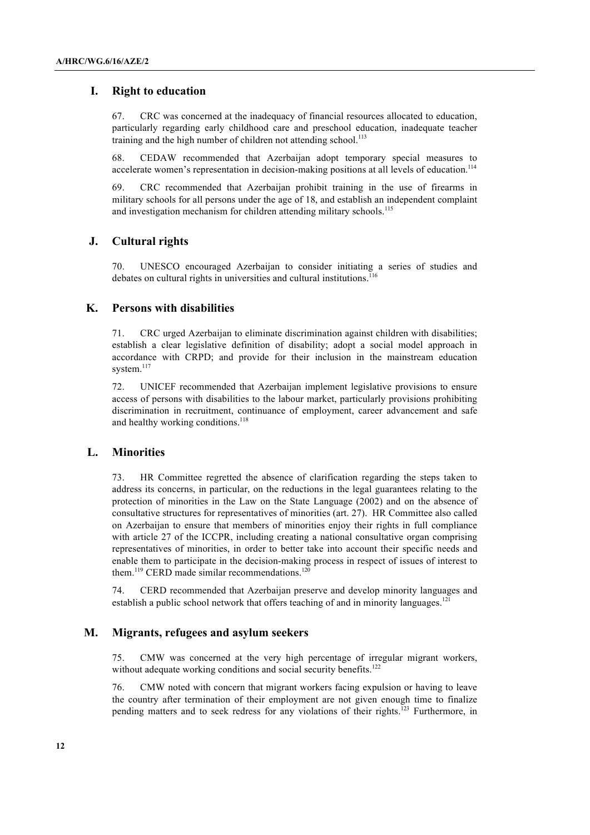# **I. Right to education**

67. CRC was concerned at the inadequacy of financial resources allocated to education, particularly regarding early childhood care and preschool education, inadequate teacher training and the high number of children not attending school.<sup>113</sup>

68. CEDAW recommended that Azerbaijan adopt temporary special measures to accelerate women's representation in decision-making positions at all levels of education.<sup>114</sup>

69. CRC recommended that Azerbaijan prohibit training in the use of firearms in military schools for all persons under the age of 18, and establish an independent complaint and investigation mechanism for children attending military schools.<sup>115</sup>

#### **J. Cultural rights**

70. UNESCO encouraged Azerbaijan to consider initiating a series of studies and debates on cultural rights in universities and cultural institutions. 116

### **K. Persons with disabilities**

71. CRC urged Azerbaijan to eliminate discrimination against children with disabilities; establish a clear legislative definition of disability; adopt a social model approach in accordance with CRPD; and provide for their inclusion in the mainstream education system.<sup>117</sup>

72. UNICEF recommended that Azerbaijan implement legislative provisions to ensure access of persons with disabilities to the labour market, particularly provisions prohibiting discrimination in recruitment, continuance of employment, career advancement and safe and healthy working conditions.<sup>118</sup>

### **L. Minorities**

73. HR Committee regretted the absence of clarification regarding the steps taken to address its concerns, in particular, on the reductions in the legal guarantees relating to the protection of minorities in the Law on the State Language (2002) and on the absence of consultative structures for representatives of minorities (art. 27). HR Committee also called on Azerbaijan to ensure that members of minorities enjoy their rights in full compliance with article 27 of the ICCPR, including creating a national consultative organ comprising representatives of minorities, in order to better take into account their specific needs and enable them to participate in the decision-making process in respect of issues of interest to them.<sup>119</sup> CERD made similar recommendations.<sup>120</sup>

74. CERD recommended that Azerbaijan preserve and develop minority languages and establish a public school network that offers teaching of and in minority languages.<sup>121</sup>

#### **M. Migrants, refugees and asylum seekers**

75. CMW was concerned at the very high percentage of irregular migrant workers, without adequate working conditions and social security benefits.<sup>122</sup>

76. CMW noted with concern that migrant workers facing expulsion or having to leave the country after termination of their employment are not given enough time to finalize pending matters and to seek redress for any violations of their rights.<sup>123</sup> Furthermore, in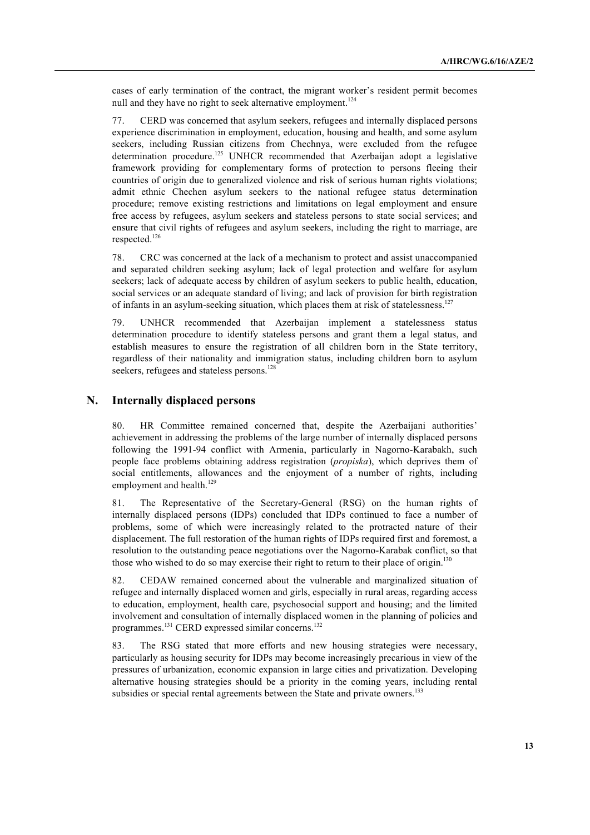cases of early termination of the contract, the migrant worker's resident permit becomes null and they have no right to seek alternative employment.<sup>124</sup>

77. CERD was concerned that asylum seekers, refugees and internally displaced persons experience discrimination in employment, education, housing and health, and some asylum seekers, including Russian citizens from Chechnya, were excluded from the refugee determination procedure.<sup>125</sup> UNHCR recommended that Azerbaijan adopt a legislative framework providing for complementary forms of protection to persons fleeing their countries of origin due to generalized violence and risk of serious human rights violations; admit ethnic Chechen asylum seekers to the national refugee status determination procedure; remove existing restrictions and limitations on legal employment and ensure free access by refugees, asylum seekers and stateless persons to state social services; and ensure that civil rights of refugees and asylum seekers, including the right to marriage, are respected.<sup>126</sup>

78. CRC was concerned at the lack of a mechanism to protect and assist unaccompanied and separated children seeking asylum; lack of legal protection and welfare for asylum seekers; lack of adequate access by children of asylum seekers to public health, education, social services or an adequate standard of living; and lack of provision for birth registration of infants in an asylum-seeking situation, which places them at risk of statelessness.<sup>127</sup>

79. UNHCR recommended that Azerbaijan implement a statelessness status determination procedure to identify stateless persons and grant them a legal status, and establish measures to ensure the registration of all children born in the State territory, regardless of their nationality and immigration status, including children born to asylum seekers, refugees and stateless persons.<sup>128</sup>

### **N. Internally displaced persons**

80. HR Committee remained concerned that, despite the Azerbaijani authorities' achievement in addressing the problems of the large number of internally displaced persons following the 1991-94 conflict with Armenia, particularly in Nagorno-Karabakh, such people face problems obtaining address registration (*propiska*), which deprives them of social entitlements, allowances and the enjoyment of a number of rights, including employment and health.<sup>129</sup>

81. The Representative of the Secretary-General (RSG) on the human rights of internally displaced persons (IDPs) concluded that IDPs continued to face a number of problems, some of which were increasingly related to the protracted nature of their displacement. The full restoration of the human rights of IDPs required first and foremost, a resolution to the outstanding peace negotiations over the Nagorno-Karabak conflict, so that those who wished to do so may exercise their right to return to their place of origin.<sup>130</sup>

82. CEDAW remained concerned about the vulnerable and marginalized situation of refugee and internally displaced women and girls, especially in rural areas, regarding access to education, employment, health care, psychosocial support and housing; and the limited involvement and consultation of internally displaced women in the planning of policies and programmes.<sup>131</sup> CERD expressed similar concerns.<sup>132</sup>

83. The RSG stated that more efforts and new housing strategies were necessary, particularly as housing security for IDPs may become increasingly precarious in view of the pressures of urbanization, economic expansion in large cities and privatization. Developing alternative housing strategies should be a priority in the coming years, including rental subsidies or special rental agreements between the State and private owners.<sup>133</sup>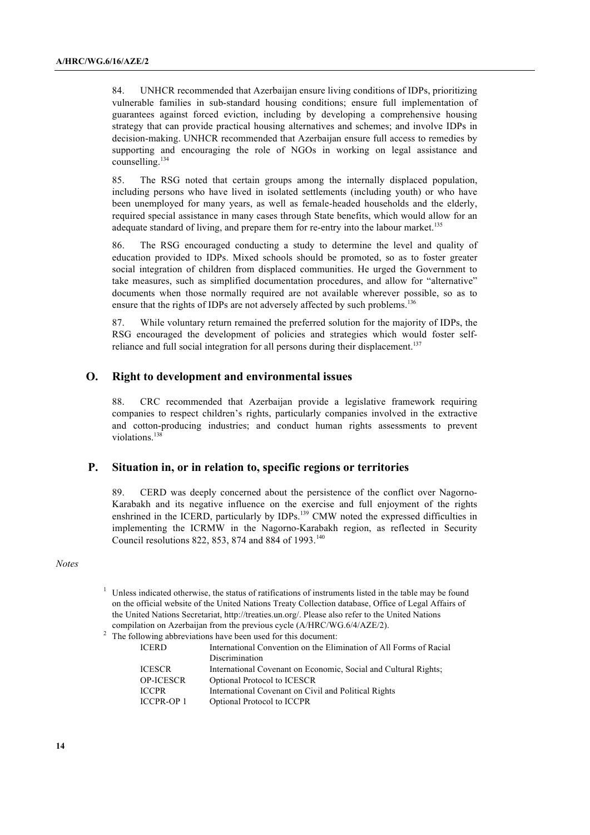84. UNHCR recommended that Azerbaijan ensure living conditions of IDPs, prioritizing vulnerable families in sub-standard housing conditions; ensure full implementation of guarantees against forced eviction, including by developing a comprehensive housing strategy that can provide practical housing alternatives and schemes; and involve IDPs in decision-making. UNHCR recommended that Azerbaijan ensure full access to remedies by supporting and encouraging the role of NGOs in working on legal assistance and counselling. 134

85. The RSG noted that certain groups among the internally displaced population, including persons who have lived in isolated settlements (including youth) or who have been unemployed for many years, as well as female-headed households and the elderly, required special assistance in many cases through State benefits, which would allow for an adequate standard of living, and prepare them for re-entry into the labour market.<sup>135</sup>

86. The RSG encouraged conducting a study to determine the level and quality of education provided to IDPs. Mixed schools should be promoted, so as to foster greater social integration of children from displaced communities. He urged the Government to take measures, such as simplified documentation procedures, and allow for "alternative" documents when those normally required are not available wherever possible, so as to ensure that the rights of IDPs are not adversely affected by such problems.<sup>136</sup>

87. While voluntary return remained the preferred solution for the majority of IDPs, the RSG encouraged the development of policies and strategies which would foster selfreliance and full social integration for all persons during their displacement.<sup>137</sup>

### **O. Right to development and environmental issues**

88. CRC recommended that Azerbaijan provide a legislative framework requiring companies to respect children's rights, particularly companies involved in the extractive and cotton-producing industries; and conduct human rights assessments to prevent violations.<sup>138</sup>

#### **P. Situation in, or in relation to, specific regions or territories**

89. CERD was deeply concerned about the persistence of the conflict over Nagorno-Karabakh and its negative influence on the exercise and full enjoyment of the rights enshrined in the ICERD, particularly by IDPs.<sup>139</sup> CMW noted the expressed difficulties in implementing the ICRMW in the Nagorno-Karabakh region, as reflected in Security Council resolutions 822, 853, 874 and 884 of 1993.<sup>140</sup>

*Notes*

 $1$  Unless indicated otherwise, the status of ratifications of instruments listed in the table may be found on the official website of the United Nations Treaty Collection database, Office of Legal Affairs of the United Nations Secretariat, http://treaties.un.org/. Please also refer to the United Nations compilation on Azerbaijan from the previous cycle (A/HRC/WG.6/4/AZE/2).

<sup>&</sup>lt;sup>2</sup> The following abbreviations have been used for this document:

| <b>ICERD</b>      | International Convention on the Elimination of All Forms of Racial |
|-------------------|--------------------------------------------------------------------|
|                   | Discrimination                                                     |
| <b>ICESCR</b>     | International Covenant on Economic, Social and Cultural Rights;    |
| <b>OP-ICESCR</b>  | Optional Protocol to ICESCR                                        |
| <b>ICCPR</b>      | International Covenant on Civil and Political Rights               |
| <b>ICCPR-OP 1</b> | Optional Protocol to ICCPR                                         |
|                   |                                                                    |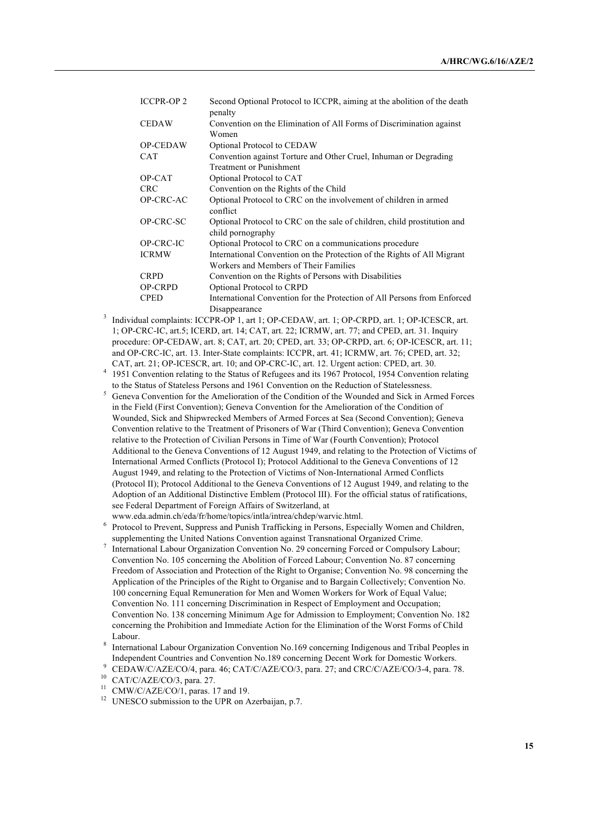| <b>ICCPR-OP 2</b> | Second Optional Protocol to ICCPR, aiming at the abolition of the death<br>penalty                 |
|-------------------|----------------------------------------------------------------------------------------------------|
| <b>CEDAW</b>      | Convention on the Elimination of All Forms of Discrimination against<br>Women                      |
| OP-CEDAW          | Optional Protocol to CEDAW                                                                         |
| <b>CAT</b>        | Convention against Torture and Other Cruel, Inhuman or Degrading<br><b>Treatment or Punishment</b> |
| OP-CAT            | Optional Protocol to CAT                                                                           |
| <b>CRC</b>        | Convention on the Rights of the Child                                                              |
| OP-CRC-AC         | Optional Protocol to CRC on the involvement of children in armed<br>conflict                       |
| OP-CRC-SC         | Optional Protocol to CRC on the sale of children, child prostitution and<br>child pornography      |
| OP-CRC-IC         | Optional Protocol to CRC on a communications procedure                                             |
| <b>ICRMW</b>      | International Convention on the Protection of the Rights of All Migrant                            |
|                   | Workers and Members of Their Families                                                              |
| <b>CRPD</b>       | Convention on the Rights of Persons with Disabilities                                              |
| <b>OP-CRPD</b>    | Optional Protocol to CRPD                                                                          |
| <b>CPED</b>       | International Convention for the Protection of All Persons from Enforced                           |
|                   | Disappearance                                                                                      |

- <sup>3</sup> Individual complaints: ICCPR-OP 1, art 1; OP-CEDAW, art. 1; OP-CRPD, art. 1; OP-ICESCR, art. 1; OP-CRC-IC, art.5; ICERD, art. 14; CAT, art. 22; ICRMW, art. 77; and CPED, art. 31. Inquiry procedure: OP-CEDAW, art. 8; CAT, art. 20; CPED, art. 33; OP-CRPD, art. 6; OP-ICESCR, art. 11; and OP-CRC-IC, art. 13. Inter-State complaints: ICCPR, art. 41; ICRMW, art. 76; CPED, art. 32; CAT, art. 21; OP-ICESCR, art. 10; and OP-CRC-IC, art. 12. Urgent action: CPED, art. 30.
- <sup>4</sup> 1951 Convention relating to the Status of Refugees and its 1967 Protocol, 1954 Convention relating to the Status of Stateless Persons and 1961 Convention on the Reduction of Statelessness.
- <sup>5</sup> Geneva Convention for the Amelioration of the Condition of the Wounded and Sick in Armed Forces in the Field (First Convention); Geneva Convention for the Amelioration of the Condition of Wounded, Sick and Shipwrecked Members of Armed Forces at Sea (Second Convention); Geneva Convention relative to the Treatment of Prisoners of War (Third Convention); Geneva Convention relative to the Protection of Civilian Persons in Time of War (Fourth Convention); Protocol Additional to the Geneva Conventions of 12 August 1949, and relating to the Protection of Victims of International Armed Conflicts (Protocol I); Protocol Additional to the Geneva Conventions of 12 August 1949, and relating to the Protection of Victims of Non-International Armed Conflicts (Protocol II); Protocol Additional to the Geneva Conventions of 12 August 1949, and relating to the Adoption of an Additional Distinctive Emblem (Protocol III). For the official status of ratifications, see Federal Department of Foreign Affairs of Switzerland, at www.eda.admin.ch/eda/fr/home/topics/intla/intrea/chdep/warvic.html.
- <sup>6</sup> Protocol to Prevent, Suppress and Punish Trafficking in Persons, Especially Women and Children, supplementing the United Nations Convention against Transnational Organized Crime.
- International Labour Organization Convention No. 29 concerning Forced or Compulsory Labour; Convention No. 105 concerning the Abolition of Forced Labour; Convention No. 87 concerning Freedom of Association and Protection of the Right to Organise; Convention No. 98 concerning the Application of the Principles of the Right to Organise and to Bargain Collectively; Convention No. 100 concerning Equal Remuneration for Men and Women Workers for Work of Equal Value; Convention No. 111 concerning Discrimination in Respect of Employment and Occupation; Convention No. 138 concerning Minimum Age for Admission to Employment; Convention No. 182 concerning the Prohibition and Immediate Action for the Elimination of the Worst Forms of Child Labour.
- <sup>8</sup> International Labour Organization Convention No.169 concerning Indigenous and Tribal Peoples in Independent Countries and Convention No.189 concerning Decent Work for Domestic Workers.<br>CEDAW/C/AZE/CO/4, para. 46; CAT/C/AZE/CO/3, para. 27; and CRC/C/AZE/CO/3-4, para. 78.
- 

- <sup>11</sup> CMW/C/AZE/CO/1, paras. 17 and 19.
- <sup>12</sup> UNESCO submission to the UPR on Azerbaijan, p.7.

<sup>10</sup> CAT/C/AZE/CO/3, para. 27.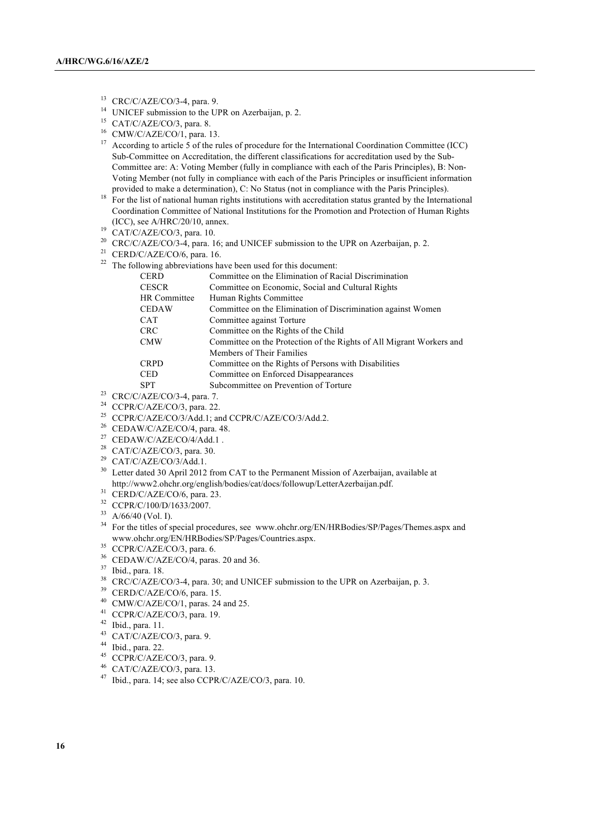- <sup>13</sup> CRC/C/AZE/CO/3-4, para. 9.
- <sup>14</sup> UNICEF submission to the UPR on Azerbaijan, p. 2.<br><sup>15</sup> CAT/C/AZE/CO/3, para. 8.
- 
- <sup>16</sup> CMW/C/AZE/CO/1, para. 13.
- <sup>17</sup> According to article  $\overline{5}$  of the rules of procedure for the International Coordination Committee (ICC) Sub-Committee on Accreditation, the different classifications for accreditation used by the Sub-Committee are: A: Voting Member (fully in compliance with each of the Paris Principles), B: Non-Voting Member (not fully in compliance with each of the Paris Principles or insufficient information provided to make a determination), C: No Status (not in compliance with the Paris Principles).
- <sup>18</sup> For the list of national human rights institutions with accreditation status granted by the International Coordination Committee of National Institutions for the Promotion and Protection of Human Rights (ICC), see A/HRC/20/10, annex.
- $^{19}$  CAT/C/AZE/CO/3, para. 10.
- <sup>20</sup> CRC/C/AZE/CO/3-4, para. 16; and UNICEF submission to the UPR on Azerbaijan, p. 2.
- <sup>21</sup> CERD/C/AZE/CO/6, para. 16.
- $22$  The following abbreviations have been used for this document:

| <b>CERD</b>  | Committee on the Elimination of Racial Discrimination                |
|--------------|----------------------------------------------------------------------|
| <b>CESCR</b> | Committee on Economic, Social and Cultural Rights                    |
| HR Committee | Human Rights Committee                                               |
| <b>CEDAW</b> | Committee on the Elimination of Discrimination against Women         |
| <b>CAT</b>   | Committee against Torture                                            |
| <b>CRC</b>   | Committee on the Rights of the Child                                 |
| <b>CMW</b>   | Committee on the Protection of the Rights of All Migrant Workers and |
|              | Members of Their Families                                            |
| <b>CRPD</b>  | Committee on the Rights of Persons with Disabilities                 |
| <b>CED</b>   | Committee on Enforced Disappearances                                 |
| <b>SPT</b>   | Subcommittee on Prevention of Torture                                |
|              |                                                                      |

- <sup>23</sup> CRC/C/AZE/CO/3-4, para. 7.
- $24$  CCPR/C/AZE/CO/3, para. 22.
- <sup>25</sup> CCPR/C/AZE/CO/3/Add.1; and CCPR/C/AZE/CO/3/Add.2.
- <sup>26</sup> CEDAW/C/AZE/CO/4, para. 48.
- $27$  CEDAW/C/AZE/CO/4/Add.1.
- $28$  CAT/C/AZE/CO/3, para. 30.
- $29$  CAT/C/AZE/CO/3/Add.1.
- <sup>30</sup> Letter dated 30 April 2012 from CAT to the Permanent Mission of Azerbaijan, available at http://www2.ohchr.org/english/bodies/cat/docs/followup/LetterAzerbaijan.pdf.
- $31$  CERD/C/AZE/CO/6, para. 23.
- <sup>32</sup> CCPR/C/100/D/1633/2007.
- $33$  A/66/40 (Vol. I).
- <sup>34</sup> For the titles of special procedures, see www.ohchr.org/EN/HRBodies/SP/Pages/Themes.aspx and www.ohchr.org/EN/HRBodies/SP/Pages/Countries.aspx.
- <sup>35</sup> CCPR/C/AZE/CO/3, para. 6.
- <sup>36</sup> CEDAW/C/AZE/CO/4, paras. 20 and 36.
- <sup>37</sup> Ibid., para. 18.
- <sup>38</sup> CRC/C/AZE/CO/3-4, para. 30; and UNICEF submission to the UPR on Azerbaijan, p. 3.<br><sup>39</sup> CERD/C/AZE/CO/6, para. 15.
- 
- $^{40}$  CMW/C/AZE/CO/1, paras. 24 and 25.
- <sup>41</sup> CCPR/C/AZE/CO/3, para. 19.
- <sup>42</sup> Ibid., para. 11.
- <sup>43</sup> CAT/C/AZE/CO/3, para. 9.
- <sup>44</sup> Ibid., para. 22.
- <sup>45</sup> CCPR/C/AZE/CO/3, para. 9.
- <sup>46</sup> CAT/C/AZE/CO/3, para. 13.
- <sup>47</sup> Ibid., para. 14; see also CCPR/C/AZE/CO/3, para. 10.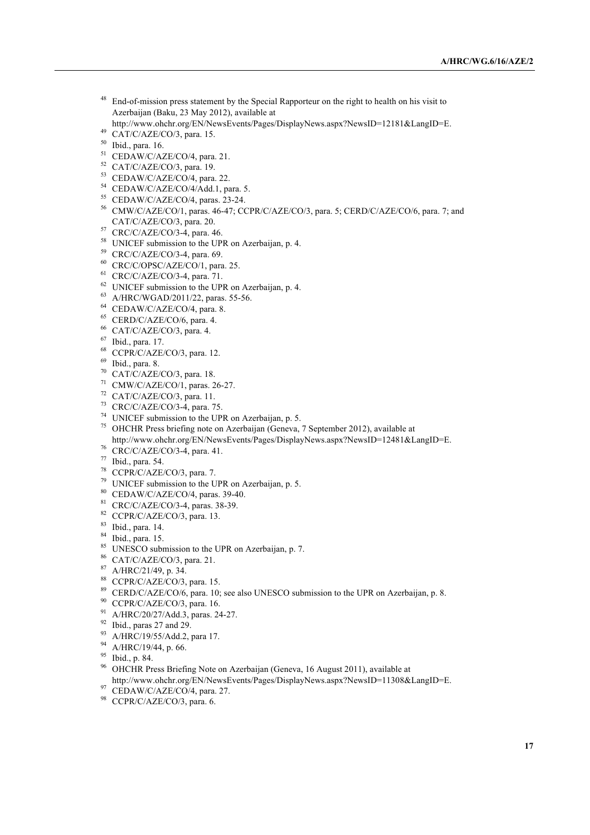- <sup>48</sup> End-of-mission press statement by the Special Rapporteur on the right to health on his visit to Azerbaijan (Baku, 23 May 2012), available at
- http://www.ohchr.org/EN/NewsEvents/Pages/DisplayNews.aspx?NewsID=12181&LangID=E.
- 49 CAT/C/AZE/CO/3, para. 15.
- Ibid., para. 16.
- CEDAW/C/AZE/CO/4, para. 21.
- CAT/C/AZE/CO/3, para. 19.
- CEDAW/C/AZE/CO/4, para. 22.
- CEDAW/C/AZE/CO/4/Add.1, para. 5.
- CEDAW/C/AZE/CO/4, paras. 23-24.
- CMW/C/AZE/CO/1, paras. 46-47; CCPR/C/AZE/CO/3, para. 5; CERD/C/AZE/CO/6, para. 7; and CAT/C/AZE/CO/3, para. 20.
- CRC/C/AZE/CO/3-4, para. 46.
- UNICEF submission to the UPR on Azerbaijan, p. 4.
- CRC/C/AZE/CO/3-4, para. 69.
- CRC/C/OPSC/AZE/CO/1, para. 25.
- CRC/C/AZE/CO/3-4, para. 71.
- UNICEF submission to the UPR on Azerbaijan, p. 4.
- A/HRC/WGAD/2011/22, paras. 55-56.
- CEDAW/C/AZE/CO/4, para. 8.
- CERD/C/AZE/CO/6, para. 4.
- CAT/C/AZE/CO/3, para. 4.
- Ibid., para. 17.
- CCPR/C/AZE/CO/3, para. 12.
- Ibid., para. 8.
- CAT/C/AZE/CO/3, para. 18.
- CMW/C/AZE/CO/1, paras. 26-27.
- CAT/C/AZE/CO/3, para. 11.
- CRC/C/AZE/CO/3-4, para. 75.
- UNICEF submission to the UPR on Azerbaijan, p. 5.
- OHCHR Press briefing note on Azerbaijan (Geneva, 7 September 2012), available at
- http://www.ohchr.org/EN/NewsEvents/Pages/DisplayNews.aspx?NewsID=12481&LangID=E.
- CRC/C/AZE/CO/3-4, para. 41.
- Ibid., para. 54.
- CCPR/C/AZE/CO/3, para. 7.
- UNICEF submission to the UPR on Azerbaijan, p. 5.
- CEDAW/C/AZE/CO/4, paras. 39-40.
- CRC/C/AZE/CO/3-4, paras. 38-39.
- CCPR/C/AZE/CO/3, para. 13.
- Ibid., para. 14.
- Ibid., para. 15.
- 85 UNESCO submission to the UPR on Azerbaijan, p. 7.
- CAT/C/AZE/CO/3, para. 21.
- A/HRC/21/49, p. 34.
- 88 CCPR/C/AZE/CO/3, para. 15.
- <sup>89</sup> CERD/C/AZE/CO/6, para. 10; see also UNESCO submission to the UPR on Azerbaijan, p. 8.
- 90 CCPR/C/AZE/CO/3, para. 16.
- A/HRC/20/27/Add.3, paras. 24-27.
- Ibid., paras 27 and 29.
- A/HRC/19/55/Add.2, para 17.
- A/HRC/19/44, p. 66.
- Ibid., p. 84.
- <sup>96</sup> OHCHR Press Briefing Note on Azerbaijan (Geneva, 16 August 2011), available at
- http://www.ohchr.org/EN/NewsEvents/Pages/DisplayNews.aspx?NewsID=11308&LangID=E.
- CEDAW/C/AZE/CO/4, para. 27.
- 98 CCPR/C/AZE/CO/3, para. 6.